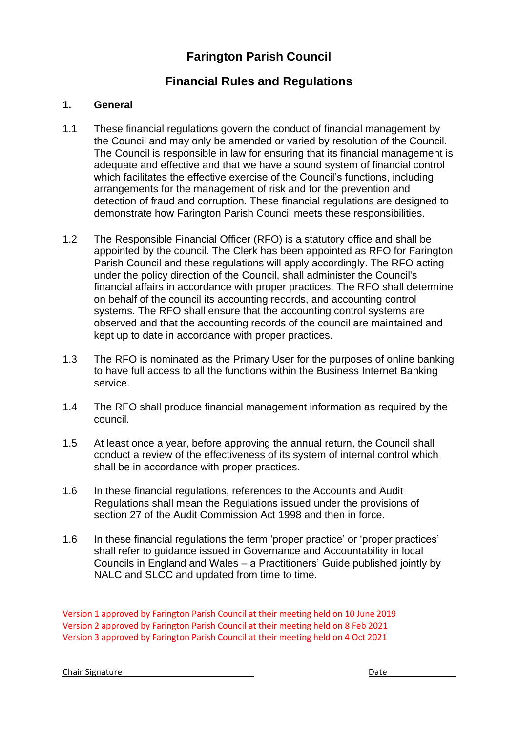# **Farington Parish Council**

# **Financial Rules and Regulations**

# **1. General**

- 1.1 These financial regulations govern the conduct of financial management by the Council and may only be amended or varied by resolution of the Council. The Council is responsible in law for ensuring that its financial management is adequate and effective and that we have a sound system of financial control which facilitates the effective exercise of the Council's functions, including arrangements for the management of risk and for the prevention and detection of fraud and corruption. These financial regulations are designed to demonstrate how Farington Parish Council meets these responsibilities.
- 1.2 The Responsible Financial Officer (RFO) is a statutory office and shall be appointed by the council. The Clerk has been appointed as RFO for Farington Parish Council and these regulations will apply accordingly. The RFO acting under the policy direction of the Council, shall administer the Council's financial affairs in accordance with proper practices. The RFO shall determine on behalf of the council its accounting records, and accounting control systems. The RFO shall ensure that the accounting control systems are observed and that the accounting records of the council are maintained and kept up to date in accordance with proper practices.
- 1.3 The RFO is nominated as the Primary User for the purposes of online banking to have full access to all the functions within the Business Internet Banking service.
- 1.4 The RFO shall produce financial management information as required by the council.
- 1.5 At least once a year, before approving the annual return, the Council shall conduct a review of the effectiveness of its system of internal control which shall be in accordance with proper practices.
- 1.6 In these financial regulations, references to the Accounts and Audit Regulations shall mean the Regulations issued under the provisions of section 27 of the Audit Commission Act 1998 and then in force.
- 1.6 In these financial regulations the term 'proper practice' or 'proper practices' shall refer to guidance issued in Governance and Accountability in local Councils in England and Wales – a Practitioners' Guide published jointly by NALC and SLCC and updated from time to time.

Version 1 approved by Farington Parish Council at their meeting held on 10 June 2019 Version 2 approved by Farington Parish Council at their meeting held on 8 Feb 2021 Version 3 approved by Farington Parish Council at their meeting held on 4 Oct 2021

**Chair Signature** Date **Date** Date **Date** Date **Date**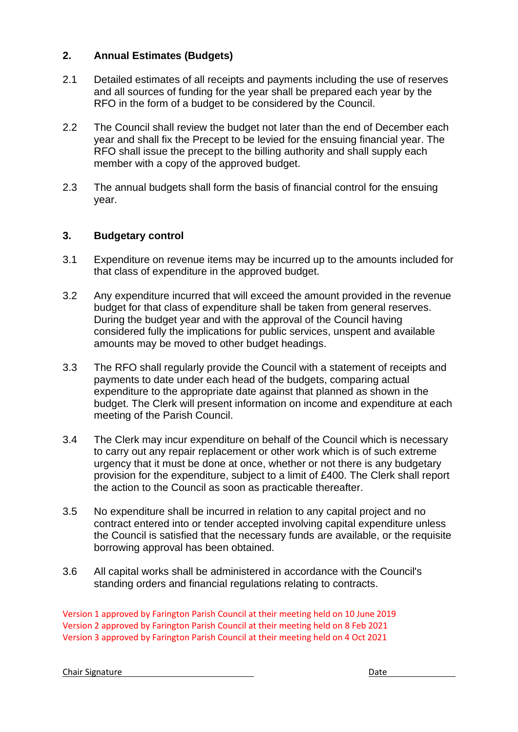## **2. Annual Estimates (Budgets)**

- 2.1 Detailed estimates of all receipts and payments including the use of reserves and all sources of funding for the year shall be prepared each year by the RFO in the form of a budget to be considered by the Council.
- 2.2 The Council shall review the budget not later than the end of December each year and shall fix the Precept to be levied for the ensuing financial year. The RFO shall issue the precept to the billing authority and shall supply each member with a copy of the approved budget.
- 2.3 The annual budgets shall form the basis of financial control for the ensuing year.

#### **3. Budgetary control**

- 3.1 Expenditure on revenue items may be incurred up to the amounts included for that class of expenditure in the approved budget.
- 3.2 Any expenditure incurred that will exceed the amount provided in the revenue budget for that class of expenditure shall be taken from general reserves. During the budget year and with the approval of the Council having considered fully the implications for public services, unspent and available amounts may be moved to other budget headings.
- 3.3 The RFO shall regularly provide the Council with a statement of receipts and payments to date under each head of the budgets, comparing actual expenditure to the appropriate date against that planned as shown in the budget. The Clerk will present information on income and expenditure at each meeting of the Parish Council.
- 3.4 The Clerk may incur expenditure on behalf of the Council which is necessary to carry out any repair replacement or other work which is of such extreme urgency that it must be done at once, whether or not there is any budgetary provision for the expenditure, subject to a limit of £400. The Clerk shall report the action to the Council as soon as practicable thereafter.
- 3.5 No expenditure shall be incurred in relation to any capital project and no contract entered into or tender accepted involving capital expenditure unless the Council is satisfied that the necessary funds are available, or the requisite borrowing approval has been obtained.
- 3.6 All capital works shall be administered in accordance with the Council's standing orders and financial regulations relating to contracts.

Version 1 approved by Farington Parish Council at their meeting held on 10 June 2019 Version 2 approved by Farington Parish Council at their meeting held on 8 Feb 2021 Version 3 approved by Farington Parish Council at their meeting held on 4 Oct 2021

**Chair Signature** Date **Date**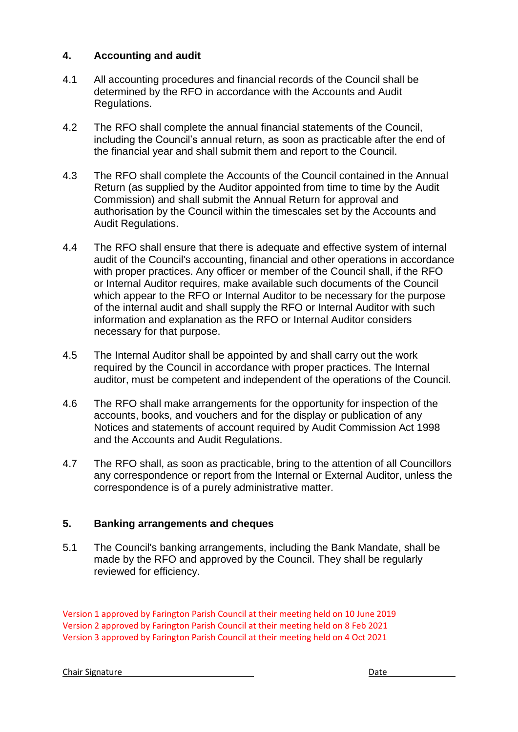## **4. Accounting and audit**

- 4.1 All accounting procedures and financial records of the Council shall be determined by the RFO in accordance with the Accounts and Audit Regulations.
- 4.2 The RFO shall complete the annual financial statements of the Council, including the Council's annual return, as soon as practicable after the end of the financial year and shall submit them and report to the Council.
- 4.3 The RFO shall complete the Accounts of the Council contained in the Annual Return (as supplied by the Auditor appointed from time to time by the Audit Commission) and shall submit the Annual Return for approval and authorisation by the Council within the timescales set by the Accounts and Audit Regulations.
- 4.4 The RFO shall ensure that there is adequate and effective system of internal audit of the Council's accounting, financial and other operations in accordance with proper practices. Any officer or member of the Council shall, if the RFO or Internal Auditor requires, make available such documents of the Council which appear to the RFO or Internal Auditor to be necessary for the purpose of the internal audit and shall supply the RFO or Internal Auditor with such information and explanation as the RFO or Internal Auditor considers necessary for that purpose.
- 4.5 The Internal Auditor shall be appointed by and shall carry out the work required by the Council in accordance with proper practices. The Internal auditor, must be competent and independent of the operations of the Council.
- 4.6 The RFO shall make arrangements for the opportunity for inspection of the accounts, books, and vouchers and for the display or publication of any Notices and statements of account required by Audit Commission Act 1998 and the Accounts and Audit Regulations.
- 4.7 The RFO shall, as soon as practicable, bring to the attention of all Councillors any correspondence or report from the Internal or External Auditor, unless the correspondence is of a purely administrative matter.

# **5. Banking arrangements and cheques**

5.1 The Council's banking arrangements, including the Bank Mandate, shall be made by the RFO and approved by the Council. They shall be regularly reviewed for efficiency.

Version 1 approved by Farington Parish Council at their meeting held on 10 June 2019 Version 2 approved by Farington Parish Council at their meeting held on 8 Feb 2021 Version 3 approved by Farington Parish Council at their meeting held on 4 Oct 2021

**Chair Signature** Date **Date**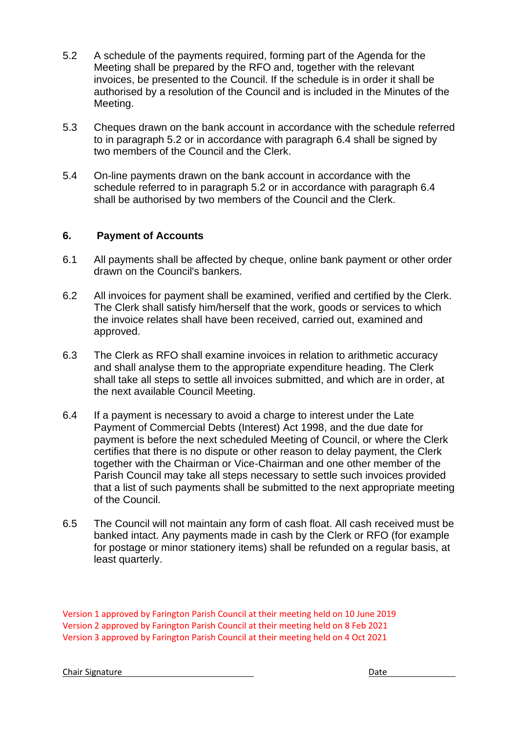- 5.2 A schedule of the payments required, forming part of the Agenda for the Meeting shall be prepared by the RFO and, together with the relevant invoices, be presented to the Council. If the schedule is in order it shall be authorised by a resolution of the Council and is included in the Minutes of the Meeting.
- 5.3 Cheques drawn on the bank account in accordance with the schedule referred to in paragraph 5.2 or in accordance with paragraph 6.4 shall be signed by two members of the Council and the Clerk.
- 5.4 On-line payments drawn on the bank account in accordance with the schedule referred to in paragraph 5.2 or in accordance with paragraph 6.4 shall be authorised by two members of the Council and the Clerk.

#### **6. Payment of Accounts**

- 6.1 All payments shall be affected by cheque, online bank payment or other order drawn on the Council's bankers.
- 6.2 All invoices for payment shall be examined, verified and certified by the Clerk. The Clerk shall satisfy him/herself that the work, goods or services to which the invoice relates shall have been received, carried out, examined and approved.
- 6.3 The Clerk as RFO shall examine invoices in relation to arithmetic accuracy and shall analyse them to the appropriate expenditure heading. The Clerk shall take all steps to settle all invoices submitted, and which are in order, at the next available Council Meeting.
- 6.4 If a payment is necessary to avoid a charge to interest under the Late Payment of Commercial Debts (Interest) Act 1998, and the due date for payment is before the next scheduled Meeting of Council, or where the Clerk certifies that there is no dispute or other reason to delay payment, the Clerk together with the Chairman or Vice-Chairman and one other member of the Parish Council may take all steps necessary to settle such invoices provided that a list of such payments shall be submitted to the next appropriate meeting of the Council.
- 6.5 The Council will not maintain any form of cash float. All cash received must be banked intact. Any payments made in cash by the Clerk or RFO (for example for postage or minor stationery items) shall be refunded on a regular basis, at least quarterly.

Version 1 approved by Farington Parish Council at their meeting held on 10 June 2019 Version 2 approved by Farington Parish Council at their meeting held on 8 Feb 2021 Version 3 approved by Farington Parish Council at their meeting held on 4 Oct 2021

**Chair Signature** Date **Date** Date **Date** Date **Date**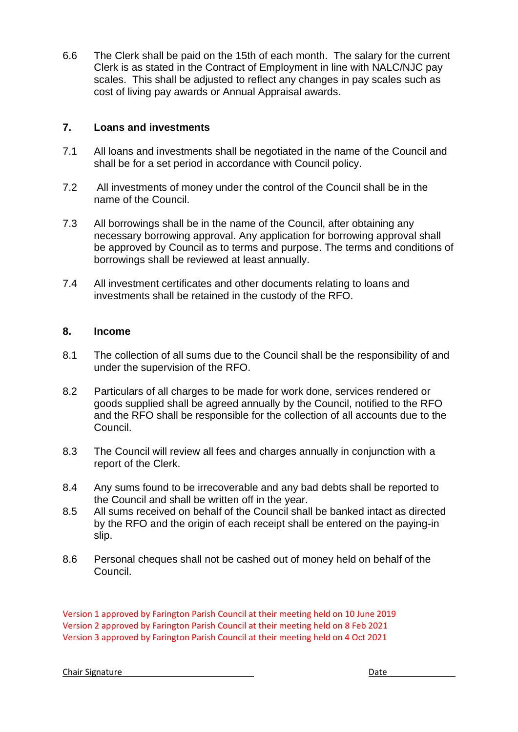6.6 The Clerk shall be paid on the 15th of each month. The salary for the current Clerk is as stated in the Contract of Employment in line with NALC/NJC pay scales. This shall be adjusted to reflect any changes in pay scales such as cost of living pay awards or Annual Appraisal awards.

#### **7. Loans and investments**

- 7.1 All loans and investments shall be negotiated in the name of the Council and shall be for a set period in accordance with Council policy.
- 7.2 All investments of money under the control of the Council shall be in the name of the Council.
- 7.3 All borrowings shall be in the name of the Council, after obtaining any necessary borrowing approval. Any application for borrowing approval shall be approved by Council as to terms and purpose. The terms and conditions of borrowings shall be reviewed at least annually.
- 7.4 All investment certificates and other documents relating to loans and investments shall be retained in the custody of the RFO.

#### **8. Income**

- 8.1 The collection of all sums due to the Council shall be the responsibility of and under the supervision of the RFO.
- 8.2 Particulars of all charges to be made for work done, services rendered or goods supplied shall be agreed annually by the Council, notified to the RFO and the RFO shall be responsible for the collection of all accounts due to the Council.
- 8.3 The Council will review all fees and charges annually in conjunction with a report of the Clerk.
- 8.4 Any sums found to be irrecoverable and any bad debts shall be reported to the Council and shall be written off in the year.
- 8.5 All sums received on behalf of the Council shall be banked intact as directed by the RFO and the origin of each receipt shall be entered on the paying-in slip.
- 8.6 Personal cheques shall not be cashed out of money held on behalf of the Council.

Version 1 approved by Farington Parish Council at their meeting held on 10 June 2019 Version 2 approved by Farington Parish Council at their meeting held on 8 Feb 2021 Version 3 approved by Farington Parish Council at their meeting held on 4 Oct 2021

**Chair Signature** Date **Date** Date **Date** Date **Date**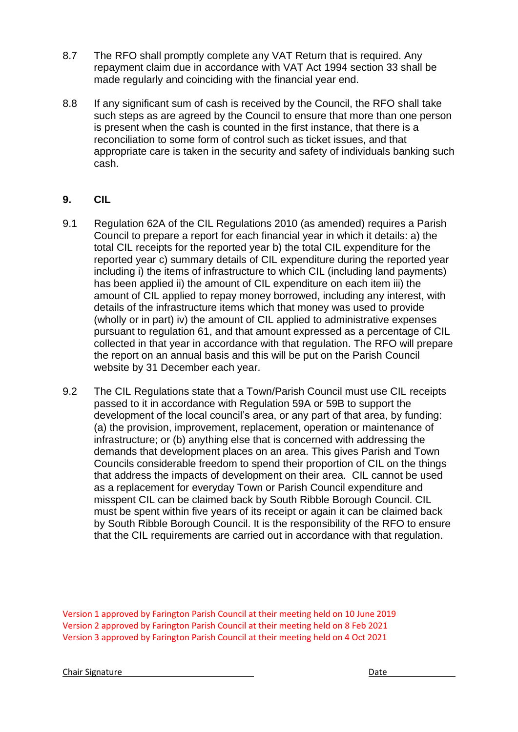- 8.7 The RFO shall promptly complete any VAT Return that is required. Any repayment claim due in accordance with VAT Act 1994 section 33 shall be made regularly and coinciding with the financial year end.
- 8.8 If any significant sum of cash is received by the Council, the RFO shall take such steps as are agreed by the Council to ensure that more than one person is present when the cash is counted in the first instance, that there is a reconciliation to some form of control such as ticket issues, and that appropriate care is taken in the security and safety of individuals banking such cash.

# **9. CIL**

- 9.1 Regulation 62A of the CIL Regulations 2010 (as amended) requires a Parish Council to prepare a report for each financial year in which it details: a) the total CIL receipts for the reported year b) the total CIL expenditure for the reported year c) summary details of CIL expenditure during the reported year including i) the items of infrastructure to which CIL (including land payments) has been applied ii) the amount of CIL expenditure on each item iii) the amount of CIL applied to repay money borrowed, including any interest, with details of the infrastructure items which that money was used to provide (wholly or in part) iv) the amount of CIL applied to administrative expenses pursuant to regulation 61, and that amount expressed as a percentage of CIL collected in that year in accordance with that regulation. The RFO will prepare the report on an annual basis and this will be put on the Parish Council website by 31 December each year.
- 9.2 The CIL Regulations state that a Town/Parish Council must use CIL receipts passed to it in accordance with Regulation 59A or 59B to support the development of the local council's area, or any part of that area, by funding: (a) the provision, improvement, replacement, operation or maintenance of infrastructure; or (b) anything else that is concerned with addressing the demands that development places on an area. This gives Parish and Town Councils considerable freedom to spend their proportion of CIL on the things that address the impacts of development on their area. CIL cannot be used as a replacement for everyday Town or Parish Council expenditure and misspent CIL can be claimed back by South Ribble Borough Council. CIL must be spent within five years of its receipt or again it can be claimed back by South Ribble Borough Council. It is the responsibility of the RFO to ensure that the CIL requirements are carried out in accordance with that regulation.

Version 1 approved by Farington Parish Council at their meeting held on 10 June 2019 Version 2 approved by Farington Parish Council at their meeting held on 8 Feb 2021 Version 3 approved by Farington Parish Council at their meeting held on 4 Oct 2021

**Chair Signature Date** Date Date **Date**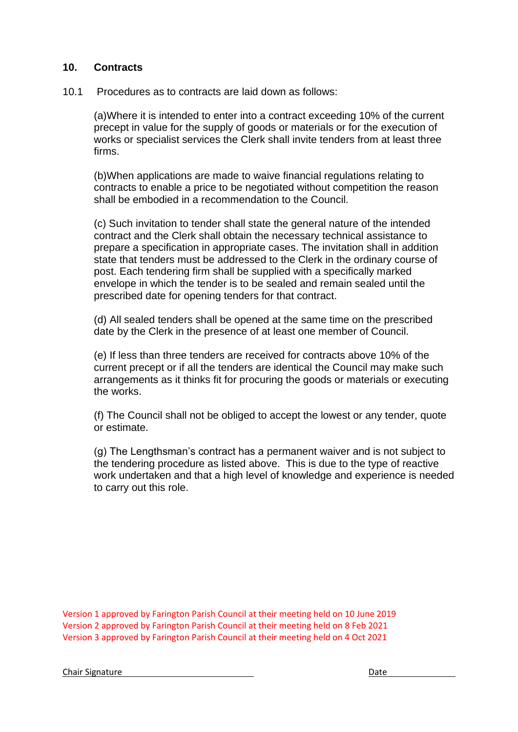#### **10. Contracts**

10.1 Procedures as to contracts are laid down as follows:

(a)Where it is intended to enter into a contract exceeding 10% of the current precept in value for the supply of goods or materials or for the execution of works or specialist services the Clerk shall invite tenders from at least three firms.

(b)When applications are made to waive financial regulations relating to contracts to enable a price to be negotiated without competition the reason shall be embodied in a recommendation to the Council.

(c) Such invitation to tender shall state the general nature of the intended contract and the Clerk shall obtain the necessary technical assistance to prepare a specification in appropriate cases. The invitation shall in addition state that tenders must be addressed to the Clerk in the ordinary course of post. Each tendering firm shall be supplied with a specifically marked envelope in which the tender is to be sealed and remain sealed until the prescribed date for opening tenders for that contract.

(d) All sealed tenders shall be opened at the same time on the prescribed date by the Clerk in the presence of at least one member of Council.

(e) If less than three tenders are received for contracts above 10% of the current precept or if all the tenders are identical the Council may make such arrangements as it thinks fit for procuring the goods or materials or executing the works.

(f) The Council shall not be obliged to accept the lowest or any tender, quote or estimate.

(g) The Lengthsman's contract has a permanent waiver and is not subject to the tendering procedure as listed above. This is due to the type of reactive work undertaken and that a high level of knowledge and experience is needed to carry out this role.

Version 1 approved by Farington Parish Council at their meeting held on 10 June 2019 Version 2 approved by Farington Parish Council at their meeting held on 8 Feb 2021 Version 3 approved by Farington Parish Council at their meeting held on 4 Oct 2021

**Chair Signature** Date **Date**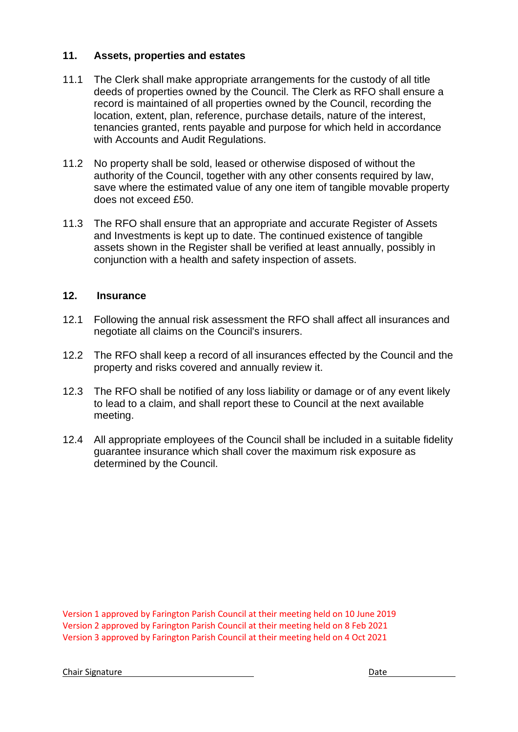## **11. Assets, properties and estates**

- 11.1 The Clerk shall make appropriate arrangements for the custody of all title deeds of properties owned by the Council. The Clerk as RFO shall ensure a record is maintained of all properties owned by the Council, recording the location, extent, plan, reference, purchase details, nature of the interest, tenancies granted, rents payable and purpose for which held in accordance with Accounts and Audit Regulations.
- 11.2 No property shall be sold, leased or otherwise disposed of without the authority of the Council, together with any other consents required by law, save where the estimated value of any one item of tangible movable property does not exceed £50.
- 11.3 The RFO shall ensure that an appropriate and accurate Register of Assets and Investments is kept up to date. The continued existence of tangible assets shown in the Register shall be verified at least annually, possibly in conjunction with a health and safety inspection of assets.

# **12. Insurance**

- 12.1 Following the annual risk assessment the RFO shall affect all insurances and negotiate all claims on the Council's insurers.
- 12.2 The RFO shall keep a record of all insurances effected by the Council and the property and risks covered and annually review it.
- 12.3 The RFO shall be notified of any loss liability or damage or of any event likely to lead to a claim, and shall report these to Council at the next available meeting.
- 12.4 All appropriate employees of the Council shall be included in a suitable fidelity guarantee insurance which shall cover the maximum risk exposure as determined by the Council.

Version 1 approved by Farington Parish Council at their meeting held on 10 June 2019 Version 2 approved by Farington Parish Council at their meeting held on 8 Feb 2021 Version 3 approved by Farington Parish Council at their meeting held on 4 Oct 2021

Chair Signature Date Date of the United States of the United States of the United States of the United States of the United States of the United States of the United States of the United States of the United States of the